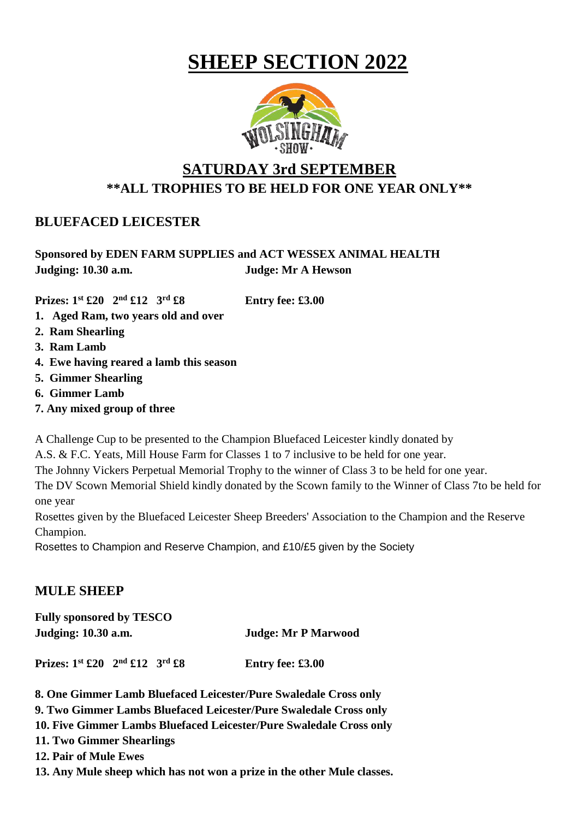# **SHEEP SECTION 2022**



## **SATURDAY 3rd SEPTEMBER \*\*ALL TROPHIES TO BE HELD FOR ONE YEAR ONLY\*\***

## **BLUEFACED LEICESTER**

## **Sponsored by EDEN FARM SUPPLIES and ACT WESSEX ANIMAL HEALTH Judging: 10.30 a.m. Judge: Mr A Hewson**

**Prizes: 1st £20 2nd £12 3rd £8 Entry fee: £3.00**

- **1. Aged Ram, two years old and over**
- **2. Ram Shearling**
- **3. Ram Lamb**
- **4. Ewe having reared a lamb this season**
- **5. Gimmer Shearling**
- **6. Gimmer Lamb**
- **7. Any mixed group of three**

A Challenge Cup to be presented to the Champion Bluefaced Leicester kindly donated by

A.S. & F.C. Yeats, Mill House Farm for Classes 1 to 7 inclusive to be held for one year.

The Johnny Vickers Perpetual Memorial Trophy to the winner of Class 3 to be held for one year.

The DV Scown Memorial Shield kindly donated by the Scown family to the Winner of Class 7to be held for one year

Rosettes given by the Bluefaced Leicester Sheep Breeders' Association to the Champion and the Reserve Champion.

Rosettes to Champion and Reserve Champion, and £10/£5 given by the Society

## **MULE SHEEP**

| <b>Fully sponsored by TESCO</b>               |                            |  |  |  |
|-----------------------------------------------|----------------------------|--|--|--|
| Judging: 10.30 a.m.                           | <b>Judge: Mr P Marwood</b> |  |  |  |
| Prizes: $1^{st}$ £20 $2^{nd}$ £12 $3^{rd}$ £8 | Entry fee: £3.00           |  |  |  |

**8. One Gimmer Lamb Bluefaced Leicester/Pure Swaledale Cross only**

**9. Two Gimmer Lambs Bluefaced Leicester/Pure Swaledale Cross only**

**10. Five Gimmer Lambs Bluefaced Leicester/Pure Swaledale Cross only**

**11. Two Gimmer Shearlings**

**12. Pair of Mule Ewes**

**13. Any Mule sheep which has not won a prize in the other Mule classes.**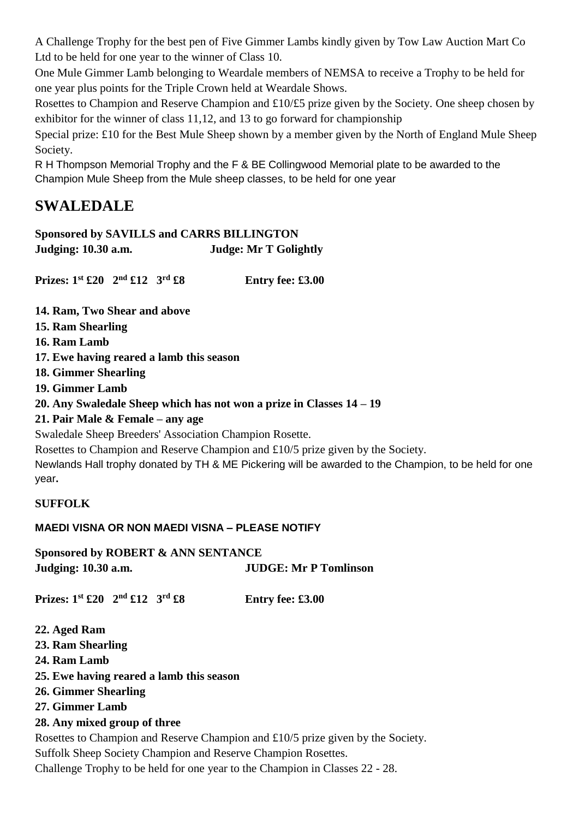A Challenge Trophy for the best pen of Five Gimmer Lambs kindly given by Tow Law Auction Mart Co Ltd to be held for one year to the winner of Class 10.

One Mule Gimmer Lamb belonging to Weardale members of NEMSA to receive a Trophy to be held for one year plus points for the Triple Crown held at Weardale Shows.

Rosettes to Champion and Reserve Champion and £10/£5 prize given by the Society. One sheep chosen by exhibitor for the winner of class 11,12, and 13 to go forward for championship

Special prize: £10 for the Best Mule Sheep shown by a member given by the North of England Mule Sheep Society.

R H Thompson Memorial Trophy and the F & BE Collingwood Memorial plate to be awarded to the Champion Mule Sheep from the Mule sheep classes, to be held for one year

## **SWALEDALE**

## **Sponsored by SAVILLS and CARRS BILLINGTON**

**Judging: 10.30 a.m. Judge: Mr T Golightly**

**Prizes: 1st £20 2nd £12 3rd £8 Entry fee: £3.00**

- **14. Ram, Two Shear and above**
- **15. Ram Shearling**
- **16. Ram Lamb**
- **17. Ewe having reared a lamb this season**
- **18. Gimmer Shearling**
- **19. Gimmer Lamb**
- **20. Any Swaledale Sheep which has not won a prize in Classes 14 – 19**
- **21. Pair Male & Female – any age**

Swaledale Sheep Breeders' Association Champion Rosette.

Rosettes to Champion and Reserve Champion and £10/5 prize given by the Society. Newlands Hall trophy donated by TH & ME Pickering will be awarded to the Champion, to be held for one year**.**

## **SUFFOLK**

### **MAEDI VISNA OR NON MAEDI VISNA – PLEASE NOTIFY**

**Sponsored by ROBERT & ANN SENTANCE Judging: 10.30 a.m. JUDGE: Mr P Tomlinson**

**Prizes: 1st £20 2nd £12 3rd £8 Entry fee: £3.00**

- **22. Aged Ram**
- **23. Ram Shearling**
- **24. Ram Lamb**
- **25. Ewe having reared a lamb this season**
- **26. Gimmer Shearling**
- **27. Gimmer Lamb**
- **28. Any mixed group of three**

Rosettes to Champion and Reserve Champion and £10/5 prize given by the Society. Suffolk Sheep Society Champion and Reserve Champion Rosettes. Challenge Trophy to be held for one year to the Champion in Classes 22 - 28.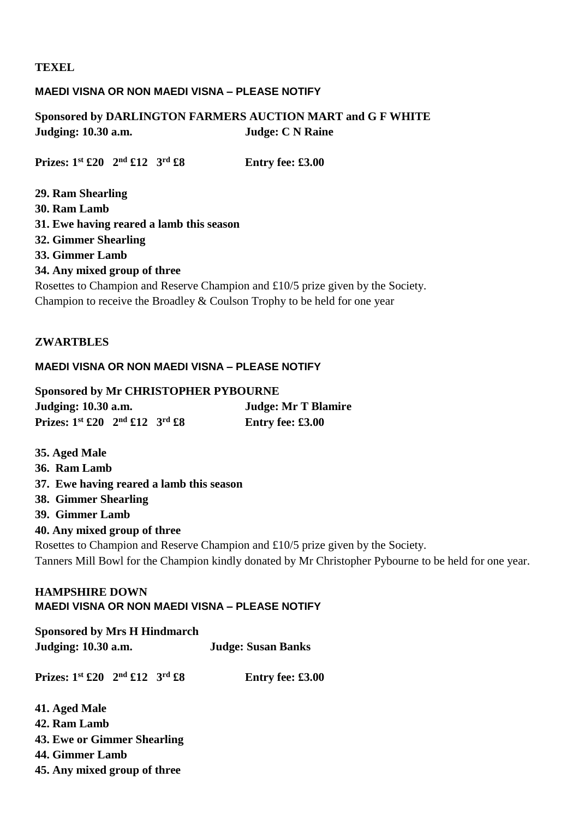#### **TEXEL**

#### **MAEDI VISNA OR NON MAEDI VISNA – PLEASE NOTIFY**

### **Sponsored by DARLINGTON FARMERS AUCTION MART and G F WHITE Judging: 10.30 a.m. Judge: C N Raine**

**Prizes: 1st £20 2nd £12 3rd £8 Entry fee: £3.00**

**29. Ram Shearling 30. Ram Lamb 31. Ewe having reared a lamb this season 32. Gimmer Shearling 33. Gimmer Lamb 34. Any mixed group of three** Rosettes to Champion and Reserve Champion and £10/5 prize given by the Society. Champion to receive the Broadley & Coulson Trophy to be held for one year

#### **ZWARTBLES**

#### **MAEDI VISNA OR NON MAEDI VISNA – PLEASE NOTIFY**

**Sponsored by Mr CHRISTOPHER PYBOURNE Judging: 10.30 a.m. Judge: Mr T Blamire Prizes: 1st £20 2nd £12 3rd £8 Entry fee: £3.00**

**35. Aged Male 36. Ram Lamb 37. Ewe having reared a lamb this season 38. Gimmer Shearling 39. Gimmer Lamb 40. Any mixed group of three** Rosettes to Champion and Reserve Champion and £10/5 prize given by the Society. Tanners Mill Bowl for the Champion kindly donated by Mr Christopher Pybourne to be held for one year.

#### **HAMPSHIRE DOWN MAEDI VISNA OR NON MAEDI VISNA – PLEASE NOTIFY**

**Sponsored by Mrs H Hindmarch Judging: 10.30 a.m. Judge: Susan Banks Prizes: 1st £20 2nd £12 3rd £8 Entry fee: £3.00 41. Aged Male 42. Ram Lamb**

**43. Ewe or Gimmer Shearling**

**44. Gimmer Lamb**

**45. Any mixed group of three**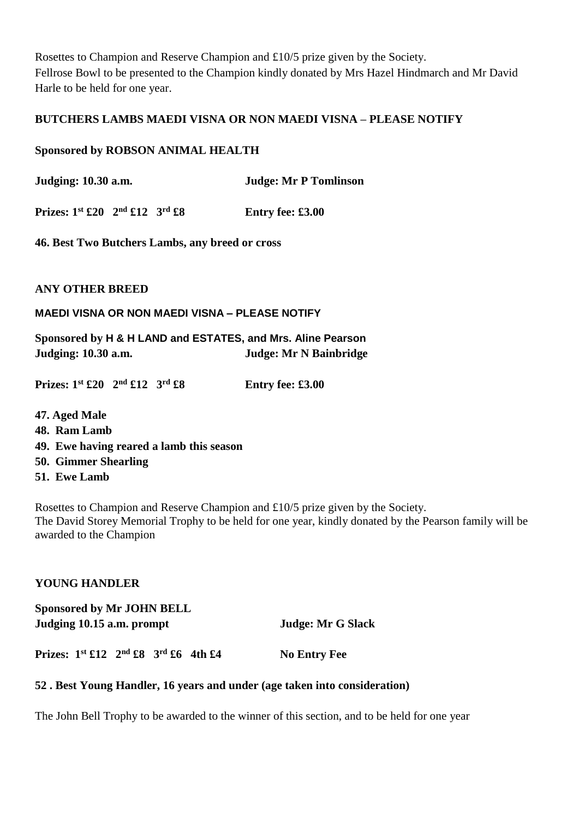Rosettes to Champion and Reserve Champion and £10/5 prize given by the Society. Fellrose Bowl to be presented to the Champion kindly donated by Mrs Hazel Hindmarch and Mr David Harle to be held for one year.

#### **BUTCHERS LAMBS MAEDI VISNA OR NON MAEDI VISNA – PLEASE NOTIFY**

#### **Sponsored by ROBSON ANIMAL HEALTH**

**Judging: 10.30 a.m. Judge: Mr P Tomlinson**

**Prizes: 1st £20 2nd £12 3rd £8 Entry fee: £3.00**

**46. Best Two Butchers Lambs, any breed or cross**

**ANY OTHER BREED**

**MAEDI VISNA OR NON MAEDI VISNA – PLEASE NOTIFY**

**Sponsored by H & H LAND and ESTATES, and Mrs. Aline Pearson Judging: 10.30 a.m. Judge: Mr N Bainbridge**

**Prizes: 1st £20 2nd £12 3rd £8 Entry fee: £3.00**

- **47. Aged Male**
- **48. Ram Lamb**
- **49. Ewe having reared a lamb this season**
- **50. Gimmer Shearling**
- **51. Ewe Lamb**

Rosettes to Champion and Reserve Champion and £10/5 prize given by the Society. The David Storey Memorial Trophy to be held for one year, kindly donated by the Pearson family will be awarded to the Champion

#### **YOUNG HANDLER**

| <b>Sponsored by Mr JOHN BELL</b><br>Judging 10.15 a.m. prompt |  |  |  | Judge: Mr G Slack |                     |
|---------------------------------------------------------------|--|--|--|-------------------|---------------------|
| Prizes: $1^{st}$ £12 $2^{nd}$ £8 $3^{rd}$ £6 4th £4           |  |  |  |                   | <b>No Entry Fee</b> |

#### **52 . Best Young Handler, 16 years and under (age taken into consideration)**

The John Bell Trophy to be awarded to the winner of this section, and to be held for one year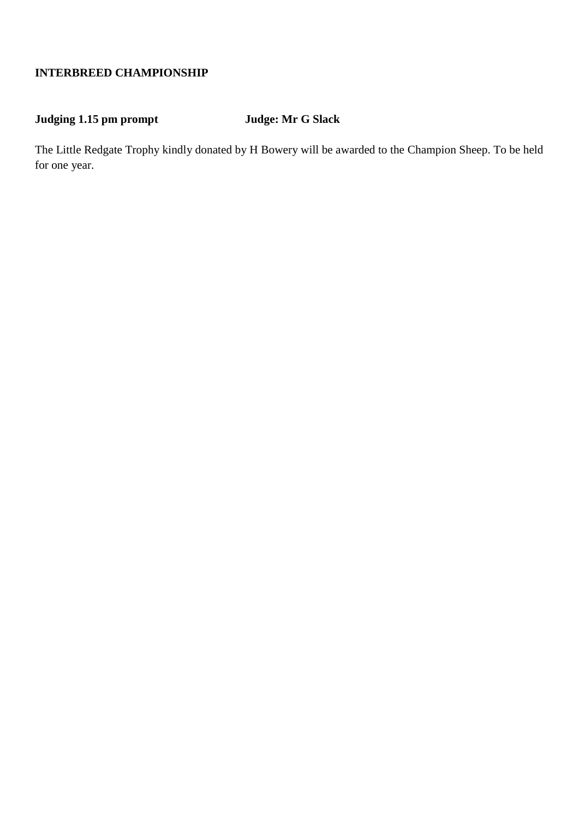### **INTERBREED CHAMPIONSHIP**

### **Judging 1.15 pm prompt Judge: Mr G Slack**

The Little Redgate Trophy kindly donated by H Bowery will be awarded to the Champion Sheep. To be held for one year.